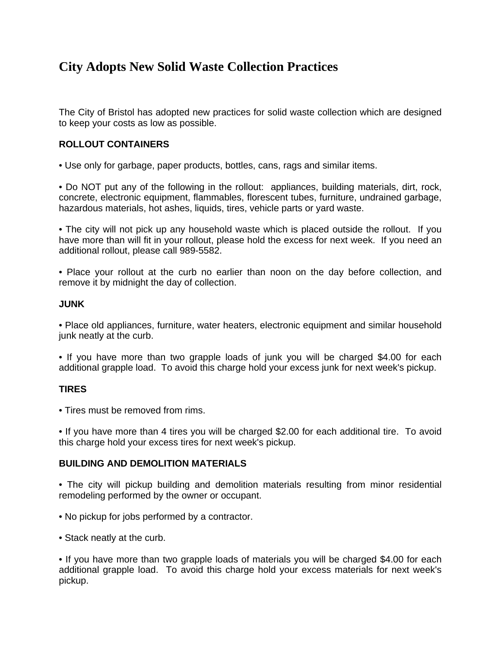# **City Adopts New Solid Waste Collection Practices**

The City of Bristol has adopted new practices for solid waste collection which are designed to keep your costs as low as possible.

# **ROLLOUT CONTAINERS**

• Use only for garbage, paper products, bottles, cans, rags and similar items.

• Do NOT put any of the following in the rollout: appliances, building materials, dirt, rock, concrete, electronic equipment, flammables, florescent tubes, furniture, undrained garbage, hazardous materials, hot ashes, liquids, tires, vehicle parts or yard waste.

• The city will not pick up any household waste which is placed outside the rollout. If you have more than will fit in your rollout, please hold the excess for next week. If you need an additional rollout, please call 989-5582.

• Place your rollout at the curb no earlier than noon on the day before collection, and remove it by midnight the day of collection.

#### **JUNK**

• Place old appliances, furniture, water heaters, electronic equipment and similar household junk neatly at the curb.

• If you have more than two grapple loads of junk you will be charged \$4.00 for each additional grapple load. To avoid this charge hold your excess junk for next week's pickup.

## **TIRES**

• Tires must be removed from rims.

• If you have more than 4 tires you will be charged \$2.00 for each additional tire. To avoid this charge hold your excess tires for next week's pickup.

#### **BUILDING AND DEMOLITION MATERIALS**

- The city will pickup building and demolition materials resulting from minor residential remodeling performed by the owner or occupant.
- No pickup for jobs performed by a contractor.
- Stack neatly at the curb.

• If you have more than two grapple loads of materials you will be charged \$4.00 for each additional grapple load. To avoid this charge hold your excess materials for next week's pickup.